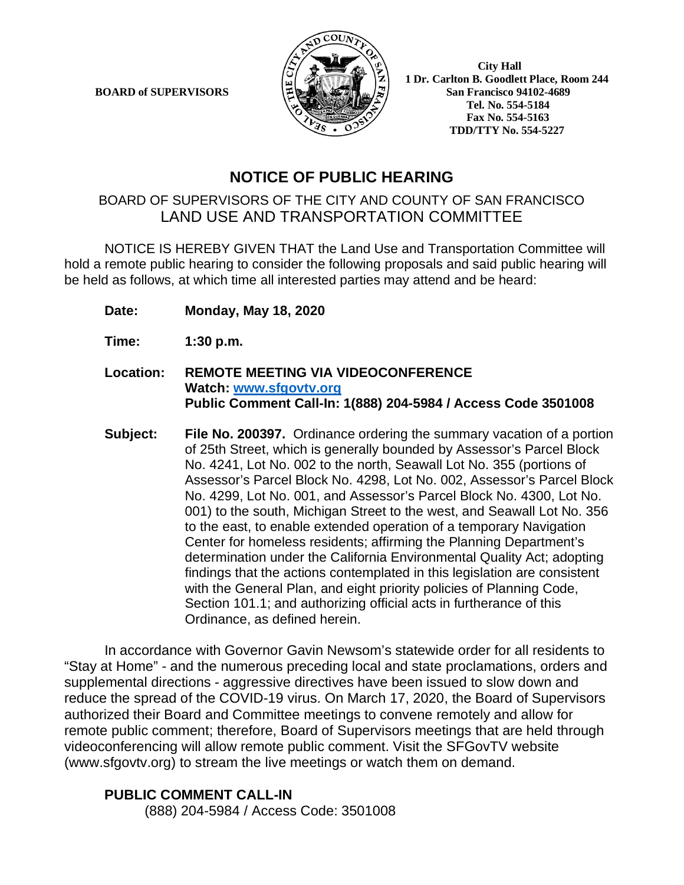**BOARD of SUPERVISORS** 



 **1 Dr. Carlton B. Goodlett Place, Room 244 Tel. No. 554-5184 Fax No. 554-5163 TDD/TTY No. 554-5227**

## **NOTICE OF PUBLIC HEARING**

## BOARD OF SUPERVISORS OF THE CITY AND COUNTY OF SAN FRANCISCO LAND USE AND TRANSPORTATION COMMITTEE

NOTICE IS HEREBY GIVEN THAT the Land Use and Transportation Committee will hold a remote public hearing to consider the following proposals and said public hearing will be held as follows, at which time all interested parties may attend and be heard:

- **Date: Monday, May 18, 2020**
- **Time: 1:30 p.m.**
- **Location: REMOTE MEETING VIA VIDEOCONFERENCE Watch: www.sfgovtv.org Public Comment Call-In: 1(888) 204-5984 / Access Code 3501008**
- **Subject: File No. 200397.** Ordinance ordering the summary vacation of a portion of 25th Street, which is generally bounded by Assessor's Parcel Block No. 4241, Lot No. 002 to the north, Seawall Lot No. 355 (portions of Assessor's Parcel Block No. 4298, Lot No. 002, Assessor's Parcel Block No. 4299, Lot No. 001, and Assessor's Parcel Block No. 4300, Lot No. 001) to the south, Michigan Street to the west, and Seawall Lot No. 356 to the east, to enable extended operation of a temporary Navigation Center for homeless residents; affirming the Planning Department's determination under the California Environmental Quality Act; adopting findings that the actions contemplated in this legislation are consistent with the General Plan, and eight priority policies of Planning Code, Section 101.1; and authorizing official acts in furtherance of this Ordinance, as defined herein.

In accordance with Governor Gavin Newsom's statewide order for all residents to "Stay at Home" - and the numerous preceding local and state proclamations, orders and supplemental directions - aggressive directives have been issued to slow down and reduce the spread of the COVID-19 virus. On March 17, 2020, the Board of Supervisors authorized their Board and Committee meetings to convene remotely and allow for remote public comment; therefore, Board of Supervisors meetings that are held through videoconferencing will allow remote public comment. Visit the SFGovTV website (www.sfgovtv.org) to stream the live meetings or watch them on demand.

### **PUBLIC COMMENT CALL-IN**

(888) 204-5984 / Access Code: 3501008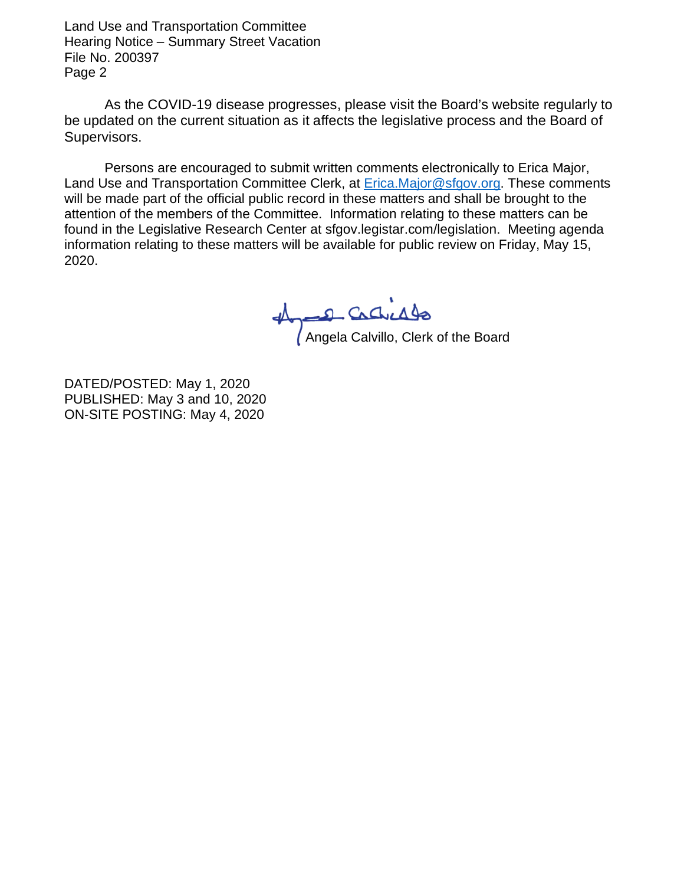Land Use and Transportation Committee Hearing Notice – Summary Street Vacation File No. 200397 Page 2

As the COVID-19 disease progresses, please visit the Board's website regularly to be updated on the current situation as it affects the legislative process and the Board of Supervisors.

Persons are encouraged to submit written comments electronically to Erica Major, Land Use and Transportation Committee Clerk, at **Erica.Major@sfgov.org.** These comments will be made part of the official public record in these matters and shall be brought to the attention of the members of the Committee. Information relating to these matters can be found in the Legislative Research Center at sfgov.legistar.com/legislation. Meeting agenda information relating to these matters will be available for public review on Friday, May 15, 2020.

Angela Calvillo, Clerk of the Board

DATED/POSTED: May 1, 2020 PUBLISHED: May 3 and 10, 2020 ON-SITE POSTING: May 4, 2020